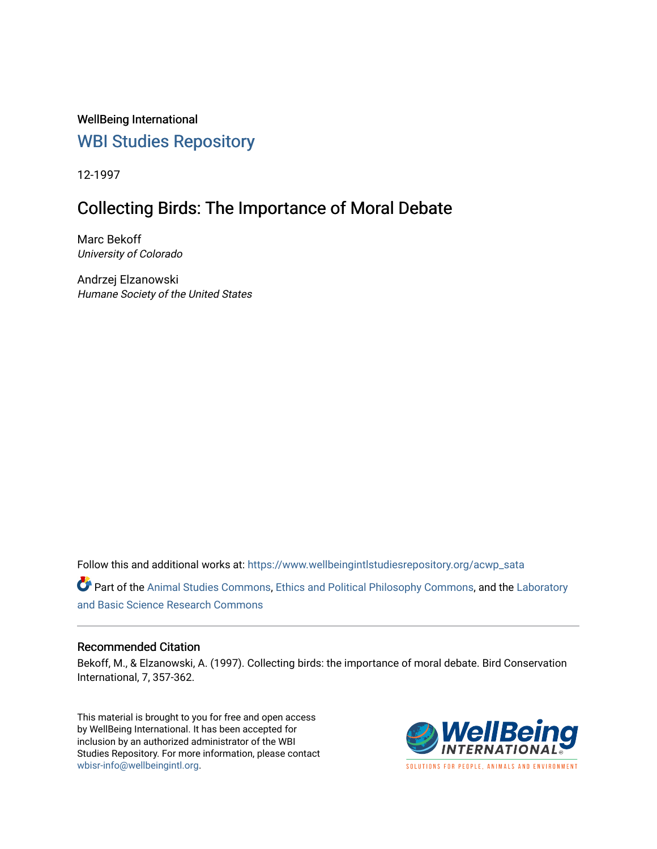### WellBeing International [WBI Studies Repository](https://www.wellbeingintlstudiesrepository.org/)

12-1997

## Collecting Birds: The Importance of Moral Debate

Marc Bekoff University of Colorado

Andrzej Elzanowski Humane Society of the United States

Follow this and additional works at: [https://www.wellbeingintlstudiesrepository.org/acwp\\_sata](https://www.wellbeingintlstudiesrepository.org/acwp_sata?utm_source=www.wellbeingintlstudiesrepository.org%2Facwp_sata%2F28&utm_medium=PDF&utm_campaign=PDFCoverPages)

Part of the [Animal Studies Commons,](http://network.bepress.com/hgg/discipline/1306?utm_source=www.wellbeingintlstudiesrepository.org%2Facwp_sata%2F28&utm_medium=PDF&utm_campaign=PDFCoverPages) [Ethics and Political Philosophy Commons,](http://network.bepress.com/hgg/discipline/529?utm_source=www.wellbeingintlstudiesrepository.org%2Facwp_sata%2F28&utm_medium=PDF&utm_campaign=PDFCoverPages) and the [Laboratory](http://network.bepress.com/hgg/discipline/812?utm_source=www.wellbeingintlstudiesrepository.org%2Facwp_sata%2F28&utm_medium=PDF&utm_campaign=PDFCoverPages)  [and Basic Science Research Commons](http://network.bepress.com/hgg/discipline/812?utm_source=www.wellbeingintlstudiesrepository.org%2Facwp_sata%2F28&utm_medium=PDF&utm_campaign=PDFCoverPages)

### Recommended Citation

Bekoff, M., & Elzanowski, A. (1997). Collecting birds: the importance of moral debate. Bird Conservation International, 7, 357-362.

This material is brought to you for free and open access by WellBeing International. It has been accepted for inclusion by an authorized administrator of the WBI Studies Repository. For more information, please contact [wbisr-info@wellbeingintl.org](mailto:wbisr-info@wellbeingintl.org).



SOLUTIONS FOR PEOPLE. ANIMALS AND ENVIRONMENT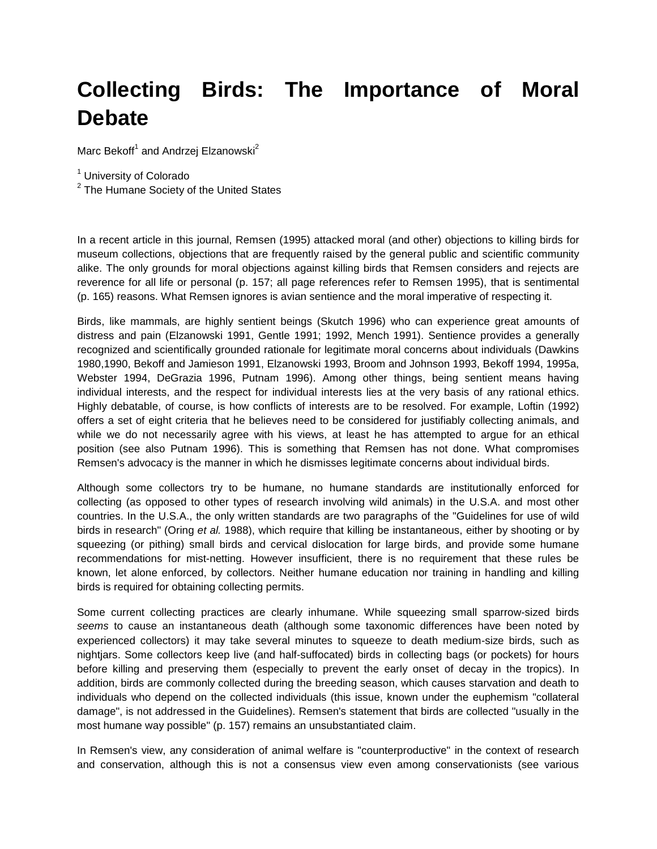# **Collecting Birds: The Importance of Moral Debate**

Marc Bekoff<sup>1</sup> and Andrzej Elzanowski<sup>2</sup>

<sup>1</sup> University of Colorado

<sup>2</sup> The Humane Society of the United States

In a recent article in this journal, Remsen (1995) attacked moral (and other) objections to killing birds for museum collections, objections that are frequently raised by the general public and scientific community alike. The only grounds for moral objections against killing birds that Remsen considers and rejects are reverence for all life or personal (p. 157; all page references refer to Remsen 1995), that is sentimental (p. 165) reasons. What Remsen ignores is avian sentience and the moral imperative of respecting it.

Birds, like mammals, are highly sentient beings (Skutch 1996) who can experience great amounts of distress and pain (Elzanowski 1991, Gentle 1991; 1992, Mench 1991). Sentience provides a generally recognized and scientifically grounded rationale for legitimate moral concerns about individuals (Dawkins 1980,1990, Bekoff and Jamieson 1991, Elzanowski 1993, Broom and Johnson 1993, Bekoff 1994, 1995a, Webster 1994, DeGrazia 1996, Putnam 1996). Among other things, being sentient means having individual interests, and the respect for individual interests lies at the very basis of any rational ethics. Highly debatable, of course, is how conflicts of interests are to be resolved. For example, Loftin (1992) offers a set of eight criteria that he believes need to be considered for justifiably collecting animals, and while we do not necessarily agree with his views, at least he has attempted to argue for an ethical position (see also Putnam 1996). This is something that Remsen has not done. What compromises Remsen's advocacy is the manner in which he dismisses legitimate concerns about individual birds.

Although some collectors try to be humane, no humane standards are institutionally enforced for collecting (as opposed to other types of research involving wild animals) in the U.S.A. and most other countries. In the U.S.A., the only written standards are two paragraphs of the "Guidelines for use of wild birds in research" (Oring *et al.* 1988), which require that killing be instantaneous, either by shooting or by squeezing (or pithing) small birds and cervical dislocation for large birds, and provide some humane recommendations for mist-netting. However insufficient, there is no requirement that these rules be known, let alone enforced, by collectors. Neither humane education nor training in handling and killing birds is required for obtaining collecting permits.

Some current collecting practices are clearly inhumane. While squeezing small sparrow-sized birds *seems* to cause an instantaneous death (although some taxonomic differences have been noted by experienced collectors) it may take several minutes to squeeze to death medium-size birds, such as nightjars. Some collectors keep live (and half-suffocated) birds in collecting bags (or pockets) for hours before killing and preserving them (especially to prevent the early onset of decay in the tropics). In addition, birds are commonly collected during the breeding season, which causes starvation and death to individuals who depend on the collected individuals (this issue, known under the euphemism "collateral damage", is not addressed in the Guidelines). Remsen's statement that birds are collected "usually in the most humane way possible" (p. 157) remains an unsubstantiated claim.

In Remsen's view, any consideration of animal welfare is "counterproductive" in the context of research and conservation, although this is not a consensus view even among conservationists (see various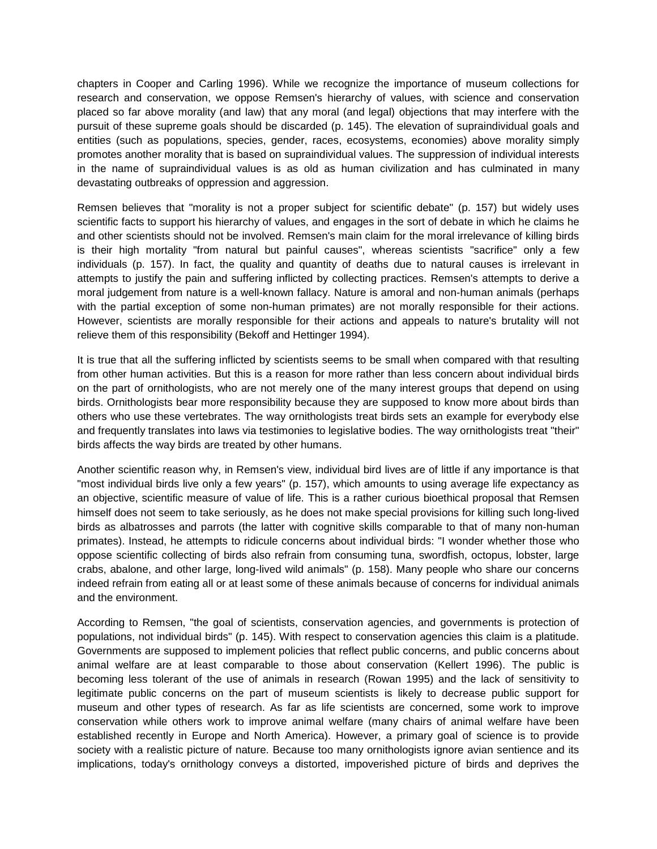chapters in Cooper and Carling 1996). While we recognize the importance of museum collections for research and conservation, we oppose Remsen's hierarchy of values, with science and conservation placed so far above morality (and law) that any moral (and legal) objections that may interfere with the pursuit of these supreme goals should be discarded (p. 145). The elevation of supraindividual goals and entities (such as populations, species, gender, races, ecosystems, economies) above morality simply promotes another morality that is based on supraindividual values. The suppression of individual interests in the name of supraindividual values is as old as human civilization and has culminated in many devastating outbreaks of oppression and aggression.

Remsen believes that "morality is not a proper subject for scientific debate" (p. 157) but widely uses scientific facts to support his hierarchy of values, and engages in the sort of debate in which he claims he and other scientists should not be involved. Remsen's main claim for the moral irrelevance of killing birds is their high mortality "from natural but painful causes", whereas scientists "sacrifice" only a few individuals (p. 157). In fact, the quality and quantity of deaths due to natural causes is irrelevant in attempts to justify the pain and suffering inflicted by collecting practices. Remsen's attempts to derive a moral judgement from nature is a well-known fallacy. Nature is amoral and non-human animals (perhaps with the partial exception of some non-human primates) are not morally responsible for their actions. However, scientists are morally responsible for their actions and appeals to nature's brutality will not relieve them of this responsibility (Bekoff and Hettinger 1994).

It is true that all the suffering inflicted by scientists seems to be small when compared with that resulting from other human activities. But this is a reason for more rather than less concern about individual birds on the part of ornithologists, who are not merely one of the many interest groups that depend on using birds. Ornithologists bear more responsibility because they are supposed to know more about birds than others who use these vertebrates. The way ornithologists treat birds sets an example for everybody else and frequently translates into laws via testimonies to legislative bodies. The way ornithologists treat "their" birds affects the way birds are treated by other humans.

Another scientific reason why, in Remsen's view, individual bird lives are of little if any importance is that "most individual birds live only a few years" (p. 157), which amounts to using average life expectancy as an objective, scientific measure of value of life. This is a rather curious bioethical proposal that Remsen himself does not seem to take seriously, as he does not make special provisions for killing such long-lived birds as albatrosses and parrots (the latter with cognitive skills comparable to that of many non-human primates). Instead, he attempts to ridicule concerns about individual birds: "I wonder whether those who oppose scientific collecting of birds also refrain from consuming tuna, swordfish, octopus, lobster, large crabs, abalone, and other large, long-lived wild animals" (p. 158). Many people who share our concerns indeed refrain from eating all or at least some of these animals because of concerns for individual animals and the environment.

According to Remsen, "the goal of scientists, conservation agencies, and governments is protection of populations, not individual birds" (p. 145). With respect to conservation agencies this claim is a platitude. Governments are supposed to implement policies that reflect public concerns, and public concerns about animal welfare are at least comparable to those about conservation (Kellert 1996). The public is becoming less tolerant of the use of animals in research (Rowan 1995) and the lack of sensitivity to legitimate public concerns on the part of museum scientists is likely to decrease public support for museum and other types of research. As far as life scientists are concerned, some work to improve conservation while others work to improve animal welfare (many chairs of animal welfare have been established recently in Europe and North America). However, a primary goal of science is to provide society with a realistic picture of nature. Because too many ornithologists ignore avian sentience and its implications, today's ornithology conveys a distorted, impoverished picture of birds and deprives the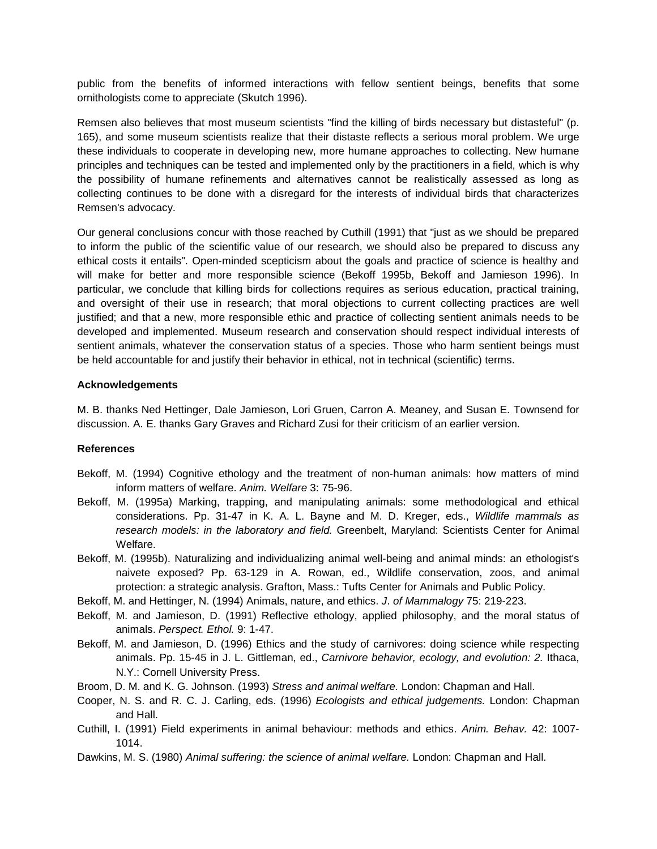public from the benefits of informed interactions with fellow sentient beings, benefits that some ornithologists come to appreciate (Skutch 1996).

Remsen also believes that most museum scientists "find the killing of birds necessary but distasteful" (p. 165), and some museum scientists realize that their distaste reflects a serious moral problem. We urge these individuals to cooperate in developing new, more humane approaches to collecting. New humane principles and techniques can be tested and implemented only by the practitioners in a field, which is why the possibility of humane refinements and alternatives cannot be realistically assessed as long as collecting continues to be done with a disregard for the interests of individual birds that characterizes Remsen's advocacy.

Our general conclusions concur with those reached by Cuthill (1991) that "just as we should be prepared to inform the public of the scientific value of our research, we should also be prepared to discuss any ethical costs it entails". Open-minded scepticism about the goals and practice of science is healthy and will make for better and more responsible science (Bekoff 1995b, Bekoff and Jamieson 1996). In particular, we conclude that killing birds for collections requires as serious education, practical training, and oversight of their use in research; that moral objections to current collecting practices are well justified; and that a new, more responsible ethic and practice of collecting sentient animals needs to be developed and implemented. Museum research and conservation should respect individual interests of sentient animals, whatever the conservation status of a species. Those who harm sentient beings must be held accountable for and justify their behavior in ethical, not in technical (scientific) terms.

#### **Acknowledgements**

M. B. thanks Ned Hettinger, Dale Jamieson, Lori Gruen, Carron A. Meaney, and Susan E. Townsend for discussion. A. E. thanks Gary Graves and Richard Zusi for their criticism of an earlier version.

### **References**

- Bekoff, M. (1994) Cognitive ethology and the treatment of non-human animals: how matters of mind inform matters of welfare. *Anim. Welfare* 3: 75-96.
- Bekoff, M. (1995a) Marking, trapping, and manipulating animals: some methodological and ethical considerations. Pp. 31-47 in K. A. L. Bayne and M. D. Kreger, eds., *Wildlife mammals as research models: in the laboratory and field.* Greenbelt, Maryland: Scientists Center for Animal Welfare.
- Bekoff, M. (1995b). Naturalizing and individualizing animal well-being and animal minds: an ethologist's naivete exposed? Pp. 63-129 in A. Rowan, ed., Wildlife conservation, zoos, and animal protection: a strategic analysis. Grafton, Mass.: Tufts Center for Animals and Public Policy.
- Bekoff, M. and Hettinger, N. (1994) Animals, nature, and ethics. *J*. *of Mammalogy* 75: 219-223.
- Bekoff, M. and Jamieson, D. (1991) Reflective ethology, applied philosophy, and the moral status of animals. *Perspect. Ethol.* 9: 1-47.
- Bekoff, M. and Jamieson, D. (1996) Ethics and the study of carnivores: doing science while respecting animals. Pp. 15-45 in J. L. Gittleman, ed., *Carnivore behavior, ecology, and evolution: 2.* Ithaca, N.Y.: Cornell University Press.
- Broom, D. M. and K. G. Johnson. (1993) *Stress and animal welfare.* London: Chapman and Hall.
- Cooper, N. S. and R. C. J. Carling, eds. (1996) *Ecologists and ethical judgements.* London: Chapman and Hall.
- Cuthill, I. (1991) Field experiments in animal behaviour: methods and ethics. *Anim. Behav.* 42: 1007- 1014.
- Dawkins, M. S. (1980) *Animal suffering: the science of animal welfare.* London: Chapman and Hall.